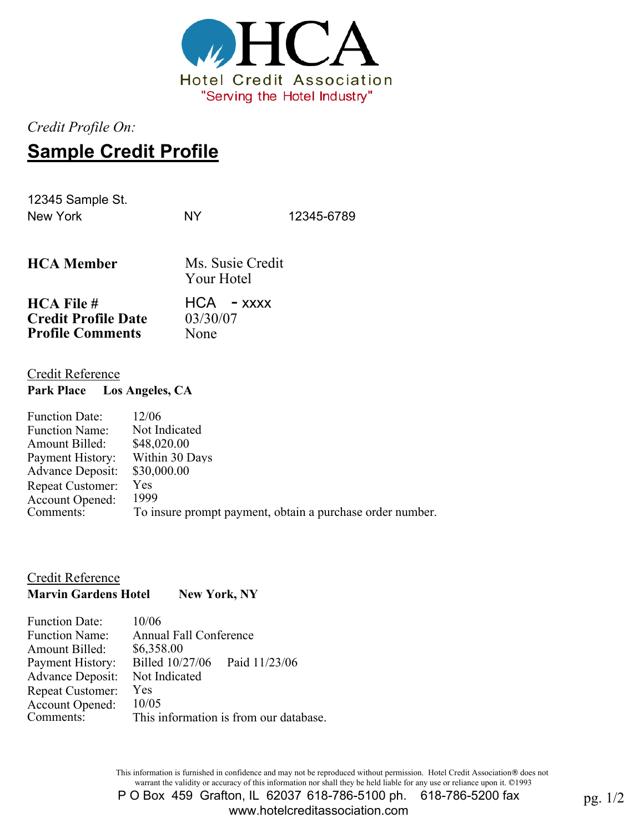

*Credit Profile On:*

# **Sample Credit Profile**

12345 Sample St. New York NY 12345-6789

| <b>HCA</b> Member          | Ms. Susie Credit<br>Your Hotel |
|----------------------------|--------------------------------|
| $HCA$ File #               | $HCA - XXXX$                   |
| <b>Credit Profile Date</b> | 03/30/07                       |
| <b>Profile Comments</b>    | None                           |

### Credit Reference

**Park Place Los Angeles, CA**

| 12/06                                                     |
|-----------------------------------------------------------|
| Not Indicated                                             |
| \$48,020.00                                               |
| Within 30 Days                                            |
| \$30,000.00                                               |
| <b>Yes</b>                                                |
| 1999                                                      |
| To insure prompt payment, obtain a purchase order number. |
|                                                           |

Credit Reference

**Marvin Gardens Hotel New York, NY** 

| <b>Function Date:</b>   | 10/06                                  |
|-------------------------|----------------------------------------|
| <b>Function Name:</b>   | Annual Fall Conference                 |
| Amount Billed:          | \$6,358.00                             |
| Payment History:        | Billed 10/27/06<br>Paid 11/23/06       |
| <b>Advance Deposit:</b> | Not Indicated                          |
| <b>Repeat Customer:</b> | Yes                                    |
| Account Opened:         | 10/05                                  |
| Comments:               | This information is from our database. |

This information is furnished in confidence and may not be reproduced without permission. Hotel Credit Association® does not warrant the validity or accuracy of this information nor shall they be held liable for any use or reliance upon it. ©1993

P O Box 459 Grafton, IL 62037 618-786-5100 ph. 618-786-5200 fax ton, IL 62037 618-786-5100 ph. 618-786-5200 fax pg. 1/2<br>www.hotelcreditassociation.com